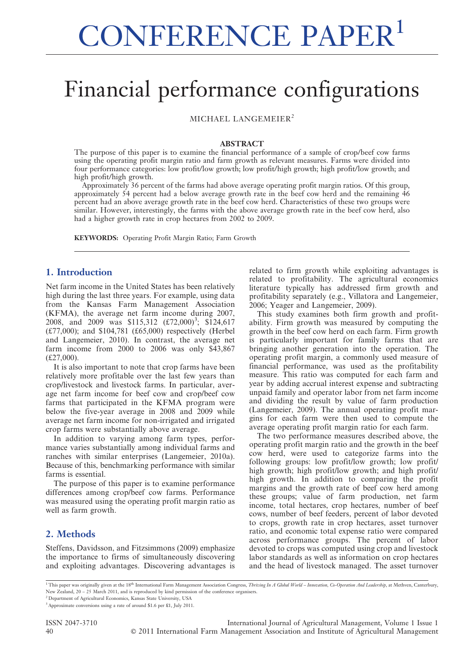# Financial performance configurations

MICHAEL LANGEMEIER<sup>2</sup>

#### ABSTRACT

The purpose of this paper is to examine the financial performance of a sample of crop/beef cow farms using the operating profit margin ratio and farm growth as relevant measures. Farms were divided into four performance categories: low profit/low growth; low profit/high growth; high profit/low growth; and high profit/high growth.

Approximately 36 percent of the farms had above average operating profit margin ratios. Of this group, approximately 54 percent had a below average growth rate in the beef cow herd and the remaining 46 percent had an above average growth rate in the beef cow herd. Characteristics of these two groups were similar. However, interestingly, the farms with the above average growth rate in the beef cow herd, also had a higher growth rate in crop hectares from 2002 to 2009.

KEYWORDS: Operating Profit Margin Ratio; Farm Growth

#### 1. Introduction

Net farm income in the United States has been relatively high during the last three years. For example, using data from the Kansas Farm Management Association (KFMA), the average net farm income during 2007, 2008, and 2009 was \$115,312  $(\text{\textsterling}72,000)^3$ ; \$124,617 (£77,000); and \$104,781 (£65,000) respectively (Herbel and Langemeier, 2010). In contrast, the average net farm income from 2000 to 2006 was only \$43,867 (£27,000).

It is also important to note that crop farms have been relatively more profitable over the last few years than crop/livestock and livestock farms. In particular, average net farm income for beef cow and crop/beef cow farms that participated in the KFMA program were below the five-year average in 2008 and 2009 while average net farm income for non-irrigated and irrigated crop farms were substantially above average.

In addition to varying among farm types, performance varies substantially among individual farms and ranches with similar enterprises (Langemeier, 2010a). Because of this, benchmarking performance with similar farms is essential.

The purpose of this paper is to examine performance differences among crop/beef cow farms. Performance was measured using the operating profit margin ratio as well as farm growth.

### 2. Methods

Steffens, Davidsson, and Fitzsimmons (2009) emphasize the importance to firms of simultaneously discovering and exploiting advantages. Discovering advantages is related to firm growth while exploiting advantages is related to profitability. The agricultural economics literature typically has addressed firm growth and profitability separately (e.g., Villatora and Langemeier, 2006; Yeager and Langemeier, 2009).

This study examines both firm growth and profitability. Firm growth was measured by computing the growth in the beef cow herd on each farm. Firm growth is particularly important for family farms that are bringing another generation into the operation. The operating profit margin, a commonly used measure of financial performance, was used as the profitability measure. This ratio was computed for each farm and year by adding accrual interest expense and subtracting unpaid family and operator labor from net farm income and dividing the result by value of farm production (Langemeier, 2009). The annual operating profit margins for each farm were then used to compute the average operating profit margin ratio for each farm.

The two performance measures described above, the operating profit margin ratio and the growth in the beef cow herd, were used to categorize farms into the following groups: low profit/low growth; low profit/ high growth; high profit/low growth; and high profit/ high growth. In addition to comparing the profit margins and the growth rate of beef cow herd among these groups; value of farm production, net farm income, total hectares, crop hectares, number of beef cows, number of beef feeders, percent of labor devoted to crops, growth rate in crop hectares, asset turnover ratio, and economic total expense ratio were compared across performance groups. The percent of labor devoted to crops was computed using crop and livestock labor standards as well as information on crop hectares and the head of livestock managed. The asset turnover

<sup>1</sup> This paper was originally given at the 18<sup>th</sup> International Farm Management Association Congress, Thriving In A Global World – Innovation, Co-Operation And Leadership, at Methven, Canterbury, New Zealand, 20 – 25 March 2011, and is reproduced by kind permission of the conference organisers.

<sup>2</sup> Department of Agricultural Economics, Kansas State University, USA

ISSN 2047-3710 International Journal of Agricultural Management, Volume 1 Issue 1 40 ' 2011 International Farm Management Association and Institute of Agricultural Management

<sup>3</sup>Approximate conversions using a rate of around \$1.6 per £1, July 2011.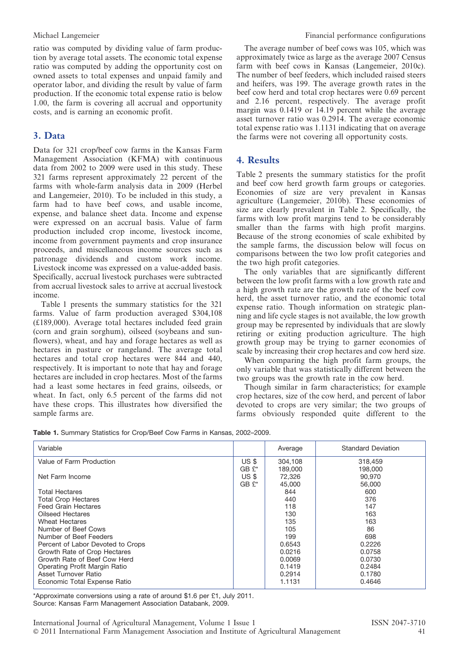ratio was computed by dividing value of farm production by average total assets. The economic total expense ratio was computed by adding the opportunity cost on owned assets to total expenses and unpaid family and operator labor, and dividing the result by value of farm production. If the economic total expense ratio is below 1.00, the farm is covering all accrual and opportunity costs, and is earning an economic profit.

## 3. Data

Data for 321 crop/beef cow farms in the Kansas Farm Management Association (KFMA) with continuous data from 2002 to 2009 were used in this study. These 321 farms represent approximately 22 percent of the farms with whole-farm analysis data in 2009 (Herbel and Langemeier, 2010). To be included in this study, a farm had to have beef cows, and usable income, expense, and balance sheet data. Income and expense were expressed on an accrual basis. Value of farm production included crop income, livestock income, income from government payments and crop insurance proceeds, and miscellaneous income sources such as patronage dividends and custom work income. Livestock income was expressed on a value-added basis. Specifically, accrual livestock purchases were subtracted from accrual livestock sales to arrive at accrual livestock income.

Table 1 presents the summary statistics for the 321 farms. Value of farm production averaged \$304,108 (£189,000). Average total hectares included feed grain (corn and grain sorghum), oilseed (soybeans and sunflowers), wheat, and hay and forage hectares as well as hectares in pasture or rangeland. The average total hectares and total crop hectares were 844 and 440, respectively. It is important to note that hay and forage hectares are included in crop hectares. Most of the farms had a least some hectares in feed grains, oilseeds, or wheat. In fact, only 6.5 percent of the farms did not have these crops. This illustrates how diversified the sample farms are.

The average number of beef cows was 105, which was approximately twice as large as the average 2007 Census farm with beef cows in Kansas (Langemeier, 2010c). The number of beef feeders, which included raised steers and heifers, was 199. The average growth rates in the beef cow herd and total crop hectares were 0.69 percent and 2.16 percent, respectively. The average profit margin was 0.1419 or 14.19 percent while the average asset turnover ratio was 0.2914. The average economic total expense ratio was 1.1131 indicating that on average the farms were not covering all opportunity costs.

### 4. Results

Table 2 presents the summary statistics for the profit and beef cow herd growth farm groups or categories. Economies of size are very prevalent in Kansas agriculture (Langemeier, 2010b). These economies of size are clearly prevalent in Table 2. Specifically, the farms with low profit margins tend to be considerably smaller than the farms with high profit margins. Because of the strong economies of scale exhibited by the sample farms, the discussion below will focus on comparisons between the two low profit categories and the two high profit categories.

The only variables that are significantly different between the low profit farms with a low growth rate and a high growth rate are the growth rate of the beef cow herd, the asset turnover ratio, and the economic total expense ratio. Though information on strategic planning and life cycle stages is not available, the low growth group may be represented by individuals that are slowly retiring or exiting production agriculture. The high growth group may be trying to garner economies of scale by increasing their crop hectares and cow herd size.

When comparing the high profit farm groups, the only variable that was statistically different between the two groups was the growth rate in the cow herd.

Though similar in farm characteristics; for example crop hectares, size of the cow herd, and percent of labor devoted to crops are very similar; the two groups of farms obviously responded quite different to the

Table 1. Summary Statistics for Crop/Beef Cow Farms in Kansas, 2002–2009.

| Variable                          |         | Average | <b>Standard Deviation</b> |
|-----------------------------------|---------|---------|---------------------------|
| Value of Farm Production          | US \$   | 304.108 | 318,459                   |
|                                   | $GBE^*$ | 189,000 | 198,000                   |
| Net Farm Income                   | US \$   | 72,326  | 90,970                    |
|                                   | $GBE^*$ | 45,000  | 56,000                    |
| <b>Total Hectares</b>             |         | 844     | 600                       |
| <b>Total Crop Hectares</b>        |         | 440     | 376                       |
| <b>Feed Grain Hectares</b>        |         | 118     | 147                       |
| Oilseed Hectares                  |         | 130     | 163                       |
| <b>Wheat Hectares</b>             |         | 135     | 163                       |
| Number of Beef Cows               |         | 105     | 86                        |
| Number of Beef Feeders            |         | 199     | 698                       |
| Percent of Labor Devoted to Crops |         | 0.6543  | 0.2226                    |
| Growth Rate of Crop Hectares      |         | 0.0216  | 0.0758                    |
| Growth Rate of Beef Cow Herd      |         | 0.0069  | 0.0730                    |
| Operating Profit Margin Ratio     |         | 0.1419  | 0.2484                    |
| Asset Turnover Ratio              |         | 0.2914  | 0.1780                    |
| Economic Total Expense Ratio      |         | 1.1131  | 0.4646                    |
|                                   |         |         |                           |

\*Approximate conversions using a rate of around \$1.6 per £1, July 2011. Source: Kansas Farm Management Association Databank, 2009.